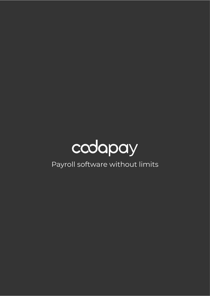

Payroll software without limits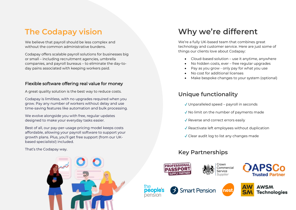# **The Codapay vision**

We believe that payroll should be less complex and without the common administrative burdens.

Codapay offers scalable payroll solutions for businesses big or small – including recruitment agencies, umbrella companies, and payroll bureaus – to eliminate the day-today pains associated with keeping workers paid.

#### Flexible software offering real value for money

A great quality solution is the best way to reduce costs.

grow. Pay any number of workers without delay and use Codapay is limitless, with no upgrades required when you time-saving features like automation and bulk processing.

We evolve alongside you with free, regular updates designed to make your everyday tasks easier.

Best of all, our pay-per-usage pricing model keeps costs affordable, allowing your payroll software to support your growth plans. Plus, you'll get free support (from our UKbased specialists!) included.

That's the Codapay way.

# **Why we're different**

We're a fully UK-based team that combines great technology and customer service. Here are just some of things our clients love about Codapay:

- Cloud-based solution use it anytime, anywhere
- No hidden costs, ever free regular upgrades
- Pay as you grow only pay for what you use
- No cost for additional licenses
- Make bespoke changes to your system (optional)

### **Unique functionality**

- ✓ Unparalleled speed payroll in seconds
- ✓ No limit on the number of payments made
- ✓ Reverse and correct errors easily
- ✓ Reactivate left employees without duplication
- ✓ Clear audit log to list any changes made

### **Key Partnerships**

Smart Pension



nensio





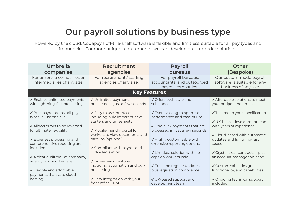# **Our payroll solutions by business type**

Powered by the cloud, Codapay's off-the-shelf software is flexible and limitless, suitable for all pay types and frequencies. For more unique requirements, we can develop built-to-order solutions.

| <b>Umbrella</b><br>companies                                                            | Recruitment<br>agencies                                                            | <b>Payroll</b><br>bureaus                                                 | <b>Other</b><br>(Bespoke)                                                        |
|-----------------------------------------------------------------------------------------|------------------------------------------------------------------------------------|---------------------------------------------------------------------------|----------------------------------------------------------------------------------|
| For umbrella companies or<br>intermediaries of any size.                                | For recruitment / staffing<br>agencies of any size.                                | For payroll bureaus,<br>accountants, and outsourced<br>payroll companies. | Our custom-made payroll<br>software is suitable for any<br>business of any size. |
|                                                                                         |                                                                                    | <b>Key Features</b>                                                       |                                                                                  |
| √ Enables unlimited payments<br>with lightning-fast processing                          | √ Unlimited payments<br>processed in just a few seconds                            | √ Offers both style and<br>substance                                      | √ Affordable solutions to meet<br>your budget and timescale                      |
| √ Bulk payroll across all pay<br>types in just one click                                | √ Easy to use interface<br>including bulk import of new<br>starters and timesheets | √ Ever evolving to optimise<br>performance and ease of use                | √ Tailored to your specification<br>√ UK-based development team                  |
| √ Allows errors to be reversed<br>for ultimate flexibility                              | √ Mobile-friendly portal for<br>workers to view documents and                      | √ One-click payments that are<br>processed in just a few seconds          | with years of experience<br>√ Cloud-based with automatic                         |
| $\sqrt{\phantom{a}}$ Expenses processing and<br>comprehensive reporting are<br>included | payslips (optional)<br>√ Compliant with payroll and                                | √ Highly customisable with<br>extensive reporting options                 | updates and lightning-fast<br>speed                                              |
| √ A clear audit trail at company,                                                       | <b>GDPR</b> legislation                                                            | √ Limitless solution with no<br>caps on workers paid                      | √ Crystal clear contracts - plus<br>an account manager on hand                   |
| agency, and worker level<br>√ Flexible and affordable<br>payments thanks to cloud       | √ Time-saving features<br>including automation and bulk<br>processing              | √ Free and regular updates,<br>plus legislation compliance                | √ Customisable design,<br>functionality, and capabilities                        |
| hosting                                                                                 | $\sqrt{\ }$ Easy integration with your<br>front office CRM                         | √ UK-based support and<br>development team                                | √ Ongoing technical support<br>included                                          |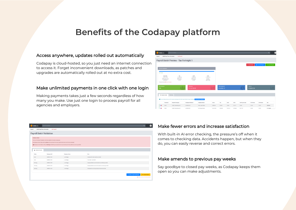## **Benefits of the Codapay platform**

#### Access anywhere, updates rolled out automatically

Codapay is cloud-hosted, so you just need an internet connection to access it. Forget inconvenient downloads, as patches and upgrades are automatically rolled out at no extra cost.

#### Make unlimited payments in one click with one login

Making payments takes just a few seconds regardless of how many you make. Use just one login to process payroll for all agencies and employers.

| Codapay                       |                                      | Search for anything                                                                                           |                                   |                              |           |                                        |              |         |                        |                                |                          | $\alpha$       |
|-------------------------------|--------------------------------------|---------------------------------------------------------------------------------------------------------------|-----------------------------------|------------------------------|-----------|----------------------------------------|--------------|---------|------------------------|--------------------------------|--------------------------|----------------|
| Payroll                       | HMRC Real Time Information ~         | <b>Exit Payroll</b>                                                                                           |                                   |                              |           |                                        |              |         |                        |                                |                          |                |
|                               |                                      | Payroll Batch Preview - Tax Fortnight 1                                                                       |                                   |                              |           |                                        |              |         |                        |                                |                          |                |
|                               |                                      |                                                                                                               |                                   |                              |           |                                        |              |         |                        | X Delete Batch                 | <b>A</b> Download Report | Commit Payroll |
| 100 PAYE Employee/s           |                                      |                                                                                                               |                                   |                              |           |                                        |              |         |                        |                                |                          |                |
| $-100$ OK                     |                                      |                                                                                                               |                                   |                              |           |                                        |              |         |                        |                                |                          |                |
|                               | <b>Gross Pay</b><br>£110,176.50      | Tax<br>£18,045.54                                                                                             | <b>De NI</b><br>£8,453.43         | Er NI<br>£10,926.72          |           |                                        |              |         |                        |                                |                          |                |
|                               | <b>Hol Pay Accrued</b><br>£6,362.56  | <b>EE</b> Pension<br>£0.00                                                                                    | <b>ER Pension</b><br>£ 0.00       | <b>Net Pay</b><br>£84,779.53 |           |                                        |              |         |                        |                                |                          |                |
|                               | Processor Options: Framewe Processor |                                                                                                               |                                   |                              |           |                                        |              |         |                        |                                |                          |                |
| <b>Total Employees</b><br>100 |                                      |                                                                                                               | <b>Total Gross</b><br>£110,176.50 |                              |           | <b>Total Employer NI</b><br>£10,926.72 |              |         |                        | <b>Total Tax</b><br>£18,045.54 |                          | ш              |
|                               |                                      |                                                                                                               |                                   |                              |           |                                        |              |         |                        |                                |                          |                |
| X Random Check                |                                      | Q. Filter                                                                                                     |                                   |                              |           |                                        |              |         |                        |                                |                          |                |
|                               |                                      | You are being shown up to 50 random employees from this Payroll Batch for spot checking. New Random Employees |                                   |                              |           |                                        |              |         |                        |                                |                          |                |
|                               | Processor                            | <b>Payment Company</b>                                                                                        | <b>Employee Reference</b>         | <b>Employee Name</b>         | Gross     | Tax                                    | <b>Ee NI</b> | Er NI   | <b>Hol Pay Accrued</b> | <b>EE</b> Pension              | <b>ER Pension</b>        | Net            |
| 京都                            | <b>PAYE</b>                          | <b>ACME Contracting Ltd</b>                                                                                   | ASTAR/X210                        | Miss Joan Wilson             | £445.00   | £34.60                                 | £9.48        | £14.77  | £0.00                  | 00.00                          | 00.00                    | £355.92        |
| 京都                            | <b>PAYE</b>                          | ACME Contracting Ltd                                                                                          | ASTAR/X231                        | Mr George Moore              | £1,467.00 | £225.90                                | £132.12      | £155.80 | £177.07                | £0.00                          | £0.00                    | £1,128.08      |

| Coda pay                 | Search for anything                                                                                                                                                                                                                                                                                                          |               |                                                      | $\alpha$                                                        |  |
|--------------------------|------------------------------------------------------------------------------------------------------------------------------------------------------------------------------------------------------------------------------------------------------------------------------------------------------------------------------|---------------|------------------------------------------------------|-----------------------------------------------------------------|--|
| Payroll                  | HMRC Real Time Information -<br><b>Exit Payroll</b>                                                                                                                                                                                                                                                                          |               |                                                      |                                                                 |  |
|                          | <b>Payroll Batch Validation</b>                                                                                                                                                                                                                                                                                              |               |                                                      |                                                                 |  |
| <b>Validation Failed</b> | We've ran Pre-Payroll Validation which has failed for the below employees.<br>X Employees shown below with any Errors will be removed from your payroll batch and so will not be calculated.<br>A Employees shown below with any Warnings will still be processed, but we recommend you fix the problem as soon as possible. |               |                                                      |                                                                 |  |
| A Validation Results     |                                                                                                                                                                                                                                                                                                                              |               |                                                      |                                                                 |  |
| Status                   | <b>Employee Ref</b>                                                                                                                                                                                                                                                                                                          | Employee Name | Error                                                |                                                                 |  |
| Error                    | SAMPLE/1001                                                                                                                                                                                                                                                                                                                  | Joe Bloggs    | Employee NI Code must be provided                    |                                                                 |  |
| Error                    | SAMPLE/1001                                                                                                                                                                                                                                                                                                                  | Joe Bloggs    | Tax Code * is not valid                              |                                                                 |  |
| Warning                  | SAMPLE/1001                                                                                                                                                                                                                                                                                                                  | Joe Bloggs    | Employee Bank Acount Number has not been provided    |                                                                 |  |
| Warning                  | SAMPLE/1001                                                                                                                                                                                                                                                                                                                  | Joe Bloggs    | Employee Bank Acount Sort Code has not been provided |                                                                 |  |
| Warning                  | SAMPLE/1001                                                                                                                                                                                                                                                                                                                  | Joe Bloggs    | Employee has missing national insurance number       |                                                                 |  |
|                          |                                                                                                                                                                                                                                                                                                                              |               | + Back to Payroll Dashboard                          | Process Payroll<br>A Workers with Errors will not be processed. |  |

#### Make fewer errors and increase satisfaction

With built-in AI error checking, the pressure's off when it comes to checking data. Accidents happen, but when they do, you can easily reverse and correct errors.

#### Make amends to previous pay weeks

Say goodbye to closed pay weeks, as Codapay keeps them open so you can make adjustments.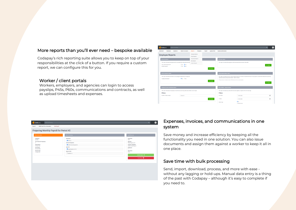#### More reports than you'll ever need – bespoke available

Codapay's rich reporting suite allows you to keep on top of your responsibilities at the click of a button. If you require a custom report, we can configure this for you.

#### Worker / client portals

Workers, employers, and agencies can login to access payslips, P45s, P60s, communications and contracts, as well as upload timesheets and expenses.



| Coda pay<br>Search for anything                                                                                                                                                                      |                                                                                                                                                                        | $\mathbf{Q}_i$                                                                                                                                                                                                    | a and |
|------------------------------------------------------------------------------------------------------------------------------------------------------------------------------------------------------|------------------------------------------------------------------------------------------------------------------------------------------------------------------------|-------------------------------------------------------------------------------------------------------------------------------------------------------------------------------------------------------------------|-------|
| HMRC Real Time Information ~<br><b>Exit Payroll</b><br>Payroll ~                                                                                                                                     |                                                                                                                                                                        |                                                                                                                                                                                                                   |       |
| Preparing Monthly Payroll for Period #2                                                                                                                                                              |                                                                                                                                                                        |                                                                                                                                                                                                                   |       |
| <b>Period Information</b>                                                                                                                                                                            | Refine Processing                                                                                                                                                      | Payroll Summary                                                                                                                                                                                                   |       |
| Frequency<br>Monthly<br><b>Tax Period (for Frequency)</b><br>$\mathcal{L}_{\mathcal{A}}$<br>Period Starts<br>06 May 2020<br><b>Period Ends</b><br>05 June 2020<br><b>Process Date</b><br>31 May 2020 | <b>Processors</b><br>PANE(1)<br><b>Contract Companies</b><br>ACME Contracting Ltd (1)<br>Agencies<br>Sample Agency Ltd (1)<br><b>Agency Links</b><br>$\Box$ SAMPLE (1) | Processors<br>PAYE<br>Agencies<br>Sample Agency Ltd<br><b>Contract Companies</b><br>ACME Contracting Ltd<br><b>Employees</b><br>$\circ$<br><b>Input Gross</b><br>£0.00<br>Validate Payroll ><br>Centri Payrol III |       |

#### Expenses, invoices, and communications in one system

Save money and increase efficiency by keeping all the functionality you need in one solution. You can also issue documents and assign them against a worker to keep it all in one place.

#### Save time with bulk processing

Send, import, download, process, and more with ease without any lagging or hold-ups. Manual data entry is a thing of the past with Codapay – although it's easy to complete if you need to.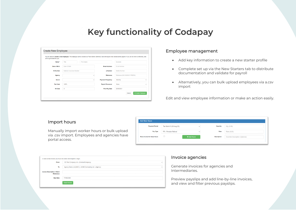#### Key functionality of Codanay Codapay for Umbrellas Codapay for United States **Key functionality of Codapay**

| will be generated for you. |                           |  |                   | You are about to create a new employee. This employee will be created as "New Starter (Minimal)" and will require more details before payroll. If you do not enter a reference, one |                              |              |  |
|----------------------------|---------------------------|--|-------------------|-------------------------------------------------------------------------------------------------------------------------------------------------------------------------------------|------------------------------|--------------|--|
| Name *                     | Title                     |  | <b>First Name</b> |                                                                                                                                                                                     | Surname                      |              |  |
| Date of Birth              | Date Of Birth             |  |                   | <b>Email Address</b>                                                                                                                                                                | <b>Email Address</b>         |              |  |
| <b>NI Number</b>           | National Insurance Number |  |                   | <b>D</b> Number                                                                                                                                                                     | Mobile Number                |              |  |
| Agency                     |                           |  | $\checkmark$      | Reference                                                                                                                                                                           | Reference (NO AGENCY PREFIX) |              |  |
| <b>Sector</b>              |                           |  | $\checkmark$      | <b>Payment Frequency</b>                                                                                                                                                            | Monthly                      | $\checkmark$ |  |
| <b>Tax Code</b>            | <b>1257L</b>              |  |                   | <b>Payroll Processor</b>                                                                                                                                                            | None                         | $\checkmark$ |  |
| NI Code                    | А                         |  |                   | <b>First Pay Date</b>                                                                                                                                                               | 20/08/2021                   |              |  |

#### Employee management

- Add key information to create a new starter profile
- Complete set up via the New Starters tab to distribute documentation and validate for payroll
- Alternatively, you can bulk upload employees via a.csv import

Edit and view employee information or make an action easily.

#### Import hours

Manually import worker hours or bulk upload via .csv import. Employees and agencies have portal access.

| <b>Payment Period</b>         | Tax Month 5 (30 Aug 20) | $\checkmark$ | Quantity           | Qty (0.00)                      |
|-------------------------------|-------------------------|--------------|--------------------|---------------------------------|
| Pay Type                      | PR - Pension Refund     | $\checkmark$ | Rate               | Rate (0.00)                     |
| Raise Invoice for these Hours |                         | + Add Hours  | <b>Description</b> | Override Description (Optional) |

| to raise a new invoice you must first select the recipient / origin. |                                                          |              |
|----------------------------------------------------------------------|----------------------------------------------------------|--------------|
| From                                                                 | 123 Test Company Ltd - (ContractCompany)                 | $\checkmark$ |
| To                                                                   | Agency Demo Ltd [AD01] - ACME Contracting Ltd - (Agency) | $\checkmark$ |
| <b>Invoice Description / Client</b><br><b>Reference</b>              |                                                          |              |
| <b>Due Date</b>                                                      | 17/08/2020                                               |              |
|                                                                      | Raise Invoice                                            |              |

#### Invoice agencies

Generate invoices for agencies and Intermediaries.

Preview payslips and add line-by-line invoices, and view and filter previous payslips.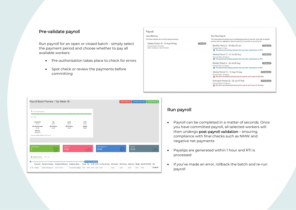#### Pre-validate payroll

Run payroll for an open or closed batch - simply select the payment period and choose whether to pay all available workers:

- Pre-authorisation takes place to check for errors
- Spot check or review the payments before committing



| $\times$ 1 OK                         |                            |                            |                 |                          |                  |  |
|---------------------------------------|----------------------------|----------------------------|-----------------|--------------------------|------------------|--|
| <b>Gross Pay</b><br>£0.00             | Tax<br>£0.00               | Ee NI<br>£0.00             | Er NI<br>£0.00  |                          |                  |  |
| <b>Hol Pay Accrued</b><br>£0.00       | <b>EE Pension</b><br>£0.00 | <b>ER Pension</b><br>£0.00 | Margin<br>£0.00 |                          |                  |  |
| <b>Net Pay</b><br>£4,250.00           |                            |                            |                 |                          |                  |  |
| Processor Options: @ Remove Processor |                            |                            |                 |                          |                  |  |
|                                       |                            |                            |                 |                          |                  |  |
|                                       |                            | <b>Total Gross</b>         |                 | <b>Total Employer NI</b> | <b>Total Tax</b> |  |
|                                       |                            |                            |                 | £0.00                    | £0.00            |  |
| <b>Total Employees</b>                |                            | £0.00                      |                 |                          |                  |  |
|                                       |                            |                            |                 |                          |                  |  |

#### Run payroll

- Payroll can be completed in a matter of seconds. Once you have committed payroll, all selected workers will then undergo post-payroll validation – ensuring compliance with final checks such as NMW and negative net payments
- Payslips are generated within 1 hour and RTI is processed
- If you've made an error, rollback the batch and re-run payroll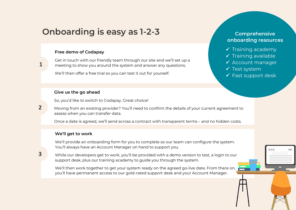# **Onboarding is easy as 1-2-3**

#### **Free demo of Codapay**

Get in touch with our friendly team through our site and we'll set up a meeting to show you around the system and answer any questions.

We'll then offer a free trial so you can test it out for yourself.

#### **Give us the go ahead**

So, you'd like to switch to Codapay. Great choice!

Moving from an existing provider? You'll need to confirm the details of your current agreement to assess when you can transfer data.

Once a date is agreed, we'll send across a contract with transparent terms – and no hidden costs.

#### **We'll get to work**

We'll provide an onboarding form for you to complete so our team can configure the system. You'll always have an Account Manager on hand to support you.

While our developers get to work, you'll be provided with a demo version to test, a login to our support desk, plus our training academy to guide you through the system.

We'll then work together to get your system ready on the agreed go-live date. From there on, you'll have permanent access to our gold-rated support desk and your Account Manager.

### **3**

**1**

**2**

#### **Comprehensive onboarding resources**

- $\checkmark$  Training academy
- $\checkmark$  Training available
- ✓ Account manager
- ✓ Test system
- ✓ Fast support desk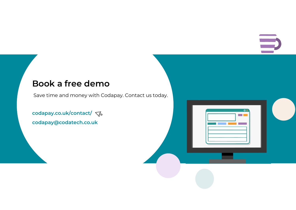$\overline{\circ}$ **COLOR** 

# **Book a free demo**

Save time and money with Codapay. Contact us today.

[codapay.co.uk/contact/](https://www.codapay.co.uk/contact/) **[codapay@codatech.co.uk](mailto:codapay@codatech.co.uk)**